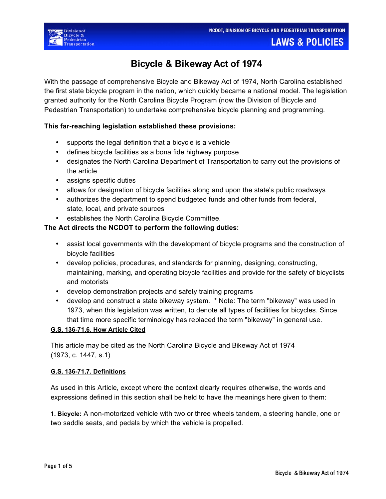

**LAWS & POLICIES** 

# **Bicycle & Bikeway Act of 1974**

With the passage of comprehensive Bicycle and Bikeway Act of 1974, North Carolina established the first state bicycle program in the nation, which quickly became a national model. The legislation granted authority for the North Carolina Bicycle Program (now the Division of Bicycle and Pedestrian Transportation) to undertake comprehensive bicycle planning and programming.

# **This far-reaching legislation established these provisions:**

- supports the legal definition that a bicycle is a vehicle
- defines bicycle facilities as a bona fide highway purpose
- designates the North Carolina Department of Transportation to carry out the provisions of the article
- assigns specific duties
- allows for designation of bicycle facilities along and upon the state's public roadways
- authorizes the department to spend budgeted funds and other funds from federal, state, local, and private sources
- establishes the North Carolina Bicycle Committee.

# **The Act directs the NCDOT to perform the following duties:**

- assist local governments with the development of bicycle programs and the construction of bicycle facilities
- develop policies, procedures, and standards for planning, designing, constructing, maintaining, marking, and operating bicycle facilities and provide for the safety of bicyclists and motorists
- develop demonstration projects and safety training programs
- develop and construct a state bikeway system. \* Note: The term "bikeway" was used in 1973, when this legislation was written, to denote all types of facilities for bicycles. Since that time more specific terminology has replaced the term "bikeway" in general use.

# **G.S. 136-71.6. How Article Cited**

This article may be cited as the North Carolina Bicycle and Bikeway Act of 1974 (1973, c. 1447, s.1)

## **G.S. 136-71.7. Definitions**

As used in this Article, except where the context clearly requires otherwise, the words and expressions defined in this section shall be held to have the meanings here given to them:

**1. Bicycle:** A non-motorized vehicle with two or three wheels tandem, a steering handle, one or two saddle seats, and pedals by which the vehicle is propelled.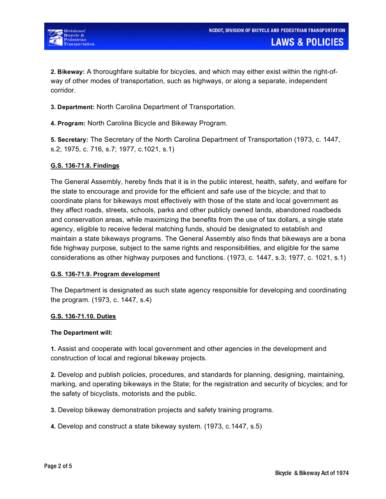

Bicycle &

**2. Bikeway:** A thoroughfare suitable for bicycles, and which may either exist within the right-ofway of other modes of transportation, such as highways, or along a separate, independent corridor.

**3. Department:** North Carolina Department of Transportation.

**4. Program:** North Carolina Bicycle and Bikeway Program.

**5. Secretary:** The Secretary of the North Carolina Department of Transportation (1973, c. 1447, s.2; 1975, c. 716, s.7; 1977, c.1021, s.1)

### **G.S. 136-71.8. Findings**

The General Assembly, hereby finds that it is in the public interest, health, safety, and welfare for the state to encourage and provide for the efficient and safe use of the bicycle; and that to coordinate plans for bikeways most effectively with those of the state and local government as they affect roads, streets, schools, parks and other publicly owned lands, abandoned roadbeds and conservation areas, while maximizing the benefits from the use of tax dollars, a single state agency, eligible to receive federal matching funds, should be designated to establish and maintain a state bikeways programs. The General Assembly also finds that bikeways are a bona fide highway purpose, subject to the same rights and responsibilities, and eligible for the same considerations as other highway purposes and functions. (1973, c. 1447, s.3; 1977, c. 1021, s.1)

#### **G.S. 136-71.9. Program development**

The Department is designated as such state agency responsible for developing and coordinating the program. (1973, c. 1447, s.4)

#### **G.S. 136-71.10. Duties**

#### **The Department will:**

**1.** Assist and cooperate with local government and other agencies in the development and construction of local and regional bikeway projects.

**2.** Develop and publish policies, procedures, and standards for planning, designing, maintaining, marking, and operating bikeways in the State; for the registration and security of bicycles; and for the safety of bicyclists, motorists and the public.

**3.** Develop bikeway demonstration projects and safety training programs.

**4.** Develop and construct a state bikeway system. (1973, c.1447, s.5)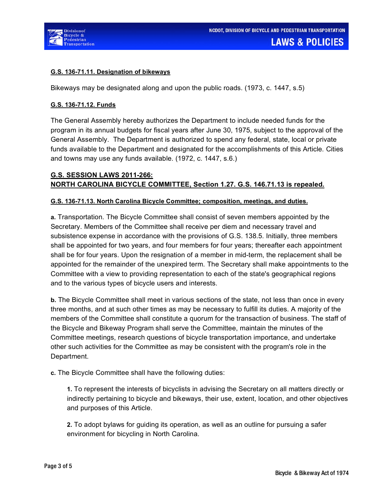



## **G.S. 136-71.11. Designation of bikeways**

Bikeways may be designated along and upon the public roads. (1973, c. 1447, s.5)

## **G.S. 136-71.12. Funds**

The General Assembly hereby authorizes the Department to include needed funds for the program in its annual budgets for fiscal years after June 30, 1975, subject to the approval of the General Assembly. The Department is authorized to spend any federal, state, local or private funds available to the Department and designated for the accomplishments of this Article. Cities and towns may use any funds available. (1972, c. 1447, s.6.)

# **G.S. SESSION LAWS 2011-266: NORTH CAROLINA BICYCLE COMMITTEE, Section 1.27. G.S. 146.71.13 is repealed.**

## **G.S. 136-71.13. North Carolina Bicycle Committee; composition, meetings, and duties.**

**a.** Transportation. The Bicycle Committee shall consist of seven members appointed by the Secretary. Members of the Committee shall receive per diem and necessary travel and subsistence expense in accordance with the provisions of G.S. 138.5. Initially, three members shall be appointed for two years, and four members for four years; thereafter each appointment shall be for four years. Upon the resignation of a member in mid-term, the replacement shall be appointed for the remainder of the unexpired term. The Secretary shall make appointments to the Committee with a view to providing representation to each of the state's geographical regions and to the various types of bicycle users and interests.

**b.** The Bicycle Committee shall meet in various sections of the state, not less than once in every three months, and at such other times as may be necessary to fulfill its duties. A majority of the members of the Committee shall constitute a quorum for the transaction of business. The staff of the Bicycle and Bikeway Program shall serve the Committee, maintain the minutes of the Committee meetings, research questions of bicycle transportation importance, and undertake other such activities for the Committee as may be consistent with the program's role in the Department.

**c.** The Bicycle Committee shall have the following duties:

**1.** To represent the interests of bicyclists in advising the Secretary on all matters directly or indirectly pertaining to bicycle and bikeways, their use, extent, location, and other objectives and purposes of this Article.

**2.** To adopt bylaws for guiding its operation, as well as an outline for pursuing a safer environment for bicycling in North Carolina.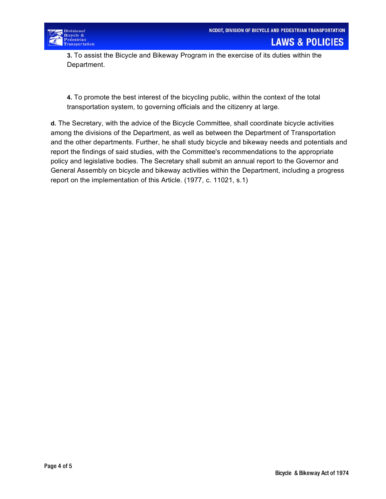

**3.** To assist the Bicycle and Bikeway Program in the exercise of its duties within the Department.

**4.** To promote the best interest of the bicycling public, within the context of the total transportation system, to governing officials and the citizenry at large.

**d.** The Secretary, with the advice of the Bicycle Committee, shall coordinate bicycle activities among the divisions of the Department, as well as between the Department of Transportation and the other departments. Further, he shall study bicycle and bikeway needs and potentials and report the findings of said studies, with the Committee's recommendations to the appropriate policy and legislative bodies. The Secretary shall submit an annual report to the Governor and General Assembly on bicycle and bikeway activities within the Department, including a progress report on the implementation of this Article. (1977, c. 11021, s.1)